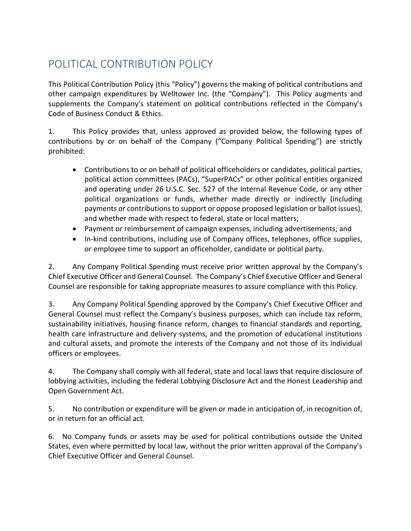## POLITICAL CONTRIBUTION POLICY

This Political Contribution Policy (this "Policy") governs the making of political contributions and other campaign expenditures by Welltower Inc. (the "Company"). This Policy augments and supplements the Company's statement on political contributions reflected in the Company's Code of Business Conduct & Ethics.

1. This Policy provides that, unless approved as provided below, the following types of contributions by or on behalf of the Company ("Company Political Spending") are strictly prohibited:

- Contributions to or on behalf of political officeholders or candidates, political parties, political action committees (PACs), "SuperPACs" or other political entities organized and operating under 26 U.S.C. Sec. 527 of the Internal Revenue Code, or any other political organizations or funds, whether made directly or indirectly (including payments or contributions to support or oppose proposed legislation or ballot issues), and whether made with respect to federal, state or local matters;
- Payment or reimbursement of campaign expenses, including advertisements; and
- In-kind contributions, including use of Company offices, telephones, office supplies, or employee time to support an officeholder, candidate or political party.

2. Any Company Political Spending must receive prior written approval by the Company's Chief Executive Officer and General Counsel. The Company's Chief Executive Officer and General Counsel are responsible for taking appropriate measures to assure compliance with this Policy.

3. Any Company Political Spending approved by the Company's Chief Executive Officer and General Counsel must reflect the Company's business purposes, which can include tax reform, sustainability initiatives, housing finance reform, changes to financial standards and reporting, health care infrastructure and delivery systems, and the promotion of educational institutions and cultural assets, and promote the interests of the Company and not those of its individual officers or employees.

4. The Company shall comply with all federal, state and local laws that require disclosure of lobbying activities, including the federal Lobbying Disclosure Act and the Honest Leadership and Open Government Act.

5. No contribution or expenditure will be given or made in anticipation of, in recognition of, or in return for an official act.

6. No Company funds or assets may be used for political contributions outside the United States, even where permitted by local law, without the prior written approval of the Company's Chief Executive Officer and General Counsel.